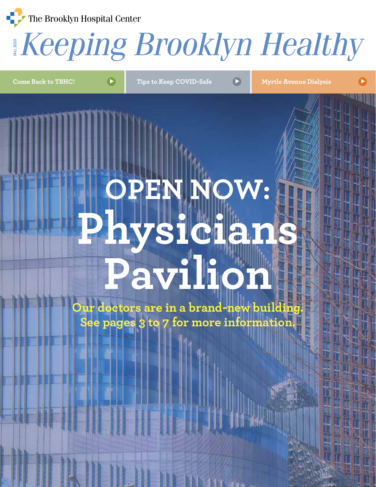The Brooklyn Hospital Center

#### FALL *Keeping Brooklyn Healthy* 2020

**Come Back to TBHC!**  $\blacktriangleright$  **T** Tips to Keep COVID-Safe  $\blacktriangleright$  **Myrtle Avenue Dialysis** 

# **OPEN NOW: Physicians Pavilion**

**Our doctors are in a brand-new building. See pages 3 to 7 for more information.**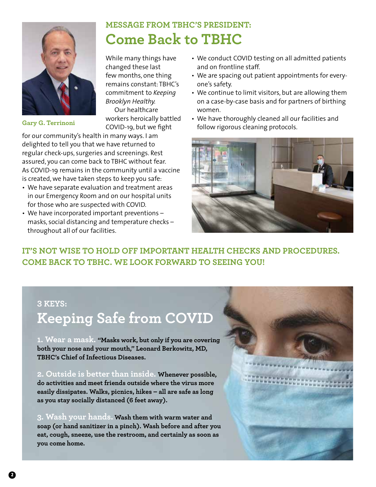

## **MESSAGE FROM TBHC'S PRESIDENT: Come Back to TBHC**

While many things have changed these last few months, one thing remains constant: TBHC's commitment to *Keeping Brooklyn Healthy.* Our healthcare workers heroically battled

COVID-19, but we fight

for our community's health in many ways. I am delighted to tell you that we have returned to regular check-ups, surgeries and screenings. Rest assured, you can come back to TBHC without fear. As COVID-19 remains in the community until a vaccine is created, we have taken steps to keep you safe:

- We have separate evaluation and treatment areas in our Emergency Room and on our hospital units for those who are suspected with COVID.
- We have incorporated important preventions masks, social distancing and temperature checks – throughout all of our facilities.
- We conduct COVID testing on all admitted patients and on frontline staff.
- We are spacing out patient appointments for everyone's safety.
- We continue to limit visitors, but are allowing them on a case-by-case basis and for partners of birthing women.
- We have thoroughly cleaned all our facilities and Gary G. Terrinoni<br>COVID-19, but we fight follow rigorous cleaning protocols.



**IT'S NOT WISE TO HOLD OFF IMPORTANT HEALTH CHECKS AND PROCEDURES. COME BACK TO TBHC. WE LOOK FORWARD TO SEEING YOU!** 

#### **3 KEYS:**

## **Keeping Safe from COVID**

**1. Wear a mask. "Masks work, but only if you are covering both your nose and your mouth," Leonard Berkowitz, MD, TBHC's Chief of Infectious Diseases.**

**2. Outside is better than inside. Whenever possible, do activities and meet friends outside where the virus more easily dissipates. Walks, picnics, hikes – all are safe as long as you stay socially distanced (6 feet away).**

**3. Wash your hands. Wash them with warm water and soap (or hand sanitizer in a pinch). Wash before and after you eat, cough, sneeze, use the restroom, and certainly as soon as you come home.**

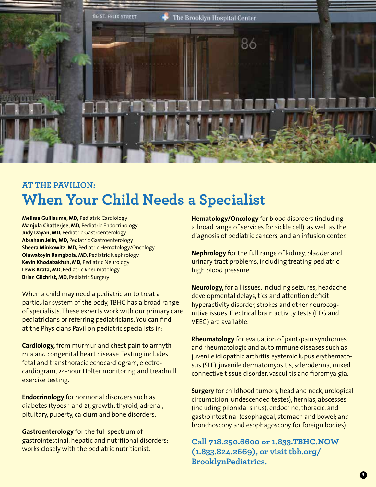

## **AT THE PAVILION: When Your Child Needs a Specialist**

**Melissa Guillaume, MD,** Pediatric Cardiology **Manjula Chatterjee, MD,** Pediatric Endocrinology **Judy Dayan, MD,** Pediatric Gastroenterology **Abraham Jelin, MD,** Pediatric Gastroenterology **Sheera Minkowitz, MD,** Pediatric Hematology/Oncology **Oluwatoyin Bamgbola, MD,** Pediatric Nephrology **Kevin Khodabakhsh, MD,** Pediatric Neurology **Lewis Krata, MD,** Pediatric Rheumatology **Brian Gilchrist, MD,** Pediatric Surgery

When a child may need a pediatrician to treat a particular system of the body, TBHC has a broad range of specialists. These experts work with our primary care pediatricians or referring pediatricians. You can find at the Physicians Pavilion pediatric specialists in:

**Cardiology,** from murmur and chest pain to arrhythmia and congenital heart disease. Testing includes fetal and transthoracic echocardiogram, electrocardiogram, 24-hour Holter monitoring and treadmill exercise testing.

**Endocrinology** for hormonal disorders such as diabetes (types 1 and 2), growth, thyroid, adrenal, pituitary, puberty, calcium and bone disorders.

**Gastroenterology** for the full spectrum of gastrointestinal, hepatic and nutritional disorders; works closely with the pediatric nutritionist.

**Hematology/Oncology** for blood disorders (including a broad range of services for sickle cell), as well as the diagnosis of pediatric cancers, and an infusion center.

**Nephrology f**or the full range of kidney, bladder and urinary tract problems, including treating pediatric high blood pressure.

**Neurology,** for all issues, including seizures, headache, developmental delays, tics and attention deficit hyperactivity disorder, strokes and other neurocognitive issues. Electrical brain activity tests (EEG and VEEG) are available.

**Rheumatology** for evaluation of joint/pain syndromes, and rheumatologic and autoimmune diseases such as juvenile idiopathic arthritis, systemic lupus erythematosus (SLE), juvenile dermatomyositis, scleroderma, mixed connective tissue disorder, vasculitis and fibromyalgia.

**Surgery** for childhood tumors, head and neck, urological circumcision, undescended testes), hernias, abscesses (including pilonidal sinus), endocrine, thoracic, and gastrointestinal (esophageal, stomach and bowel; and bronchoscopy and esophagoscopy for foreign bodies).

**Call 718.250.6600 or 1.833.TBHC.NOW (1.833.824.2669), or visit tbh.org/ BrooklynPediatrics.**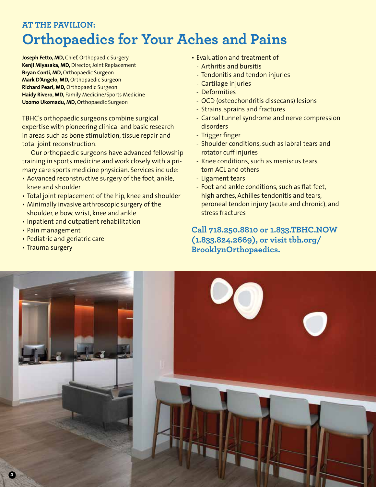### **AT THE PAVILION: Orthopaedics for Your Aches and Pains**

**Joseph Fetto, MD,** Chief, Orthopaedic Surgery **Kenji Miyasaka, MD,** Director, Joint Replacement **Bryan Conti, MD,** Orthopaedic Surgeon **Mark D'Angelo, MD,** Orthopaedic Surgeon **Richard Pearl, MD,** Orthopaedic Surgeon **Haidy Rivero, MD,** Family Medicine/Sports Medicine **Uzomo Ukomadu, MD,** Orthopaedic Surgeon

TBHC's orthopaedic surgeons combine surgical expertise with pioneering clinical and basic research in areas such as bone stimulation, tissue repair and total joint reconstruction.

 Our orthopaedic surgeons have advanced fellowship training in sports medicine and work closely with a primary care sports medicine physician. Services include:

- Advanced reconstructive surgery of the foot, ankle, knee and shoulder
- Total joint replacement of the hip, knee and shoulder
- Minimally invasive arthroscopic surgery of the shoulder, elbow, wrist, knee and ankle
- Inpatient and outpatient rehabilitation
- Pain management
- Pediatric and geriatric care
- Trauma surgery
- Evaluation and treatment of
- Arthritis and bursitis
- Tendonitis and tendon injuries
- Cartilage injuries
- Deformities
- OCD (osteochondritis dissecans) lesions
- Strains, sprains and fractures
- Carpal tunnel syndrome and nerve compression disorders
- Trigger finger
- Shoulder conditions, such as labral tears and rotator cuff injuries
- Knee conditions, such as meniscus tears, torn ACL and others
- Ligament tears
- Foot and ankle conditions, such as flat feet, high arches, Achilles tendonitis and tears, peroneal tendon injury (acute and chronic), and stress fractures

**Call 718.250.8810 or 1.833.TBHC.NOW (1.833.824.2669), or visit tbh.org/ BrooklynOrthopaedics.**

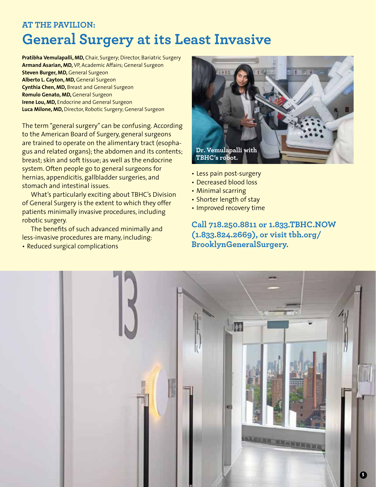### **AT THE PAVILION: General Surgery at its Least Invasive**

**Pratibha Vemulapalli, MD,** Chair, Surgery; Director, Bariatric Surgery **Armand Asarian, MD,** VP, Academic Affairs; General Surgeon **Steven Burger, MD, General Surgeon Alberto L. Cayton, MD,** General Surgeon **Cynthia Chen, MD,** Breast and General Surgeon **Romulo Genato, MD,** General Surgeon **Irene Lou, MD,** Endocrine and General Surgeon **Luca Milone, MD,** Director, Robotic Surgery; General Surgeon

The term "general surgery" can be confusing. According to the American Board of Surgery, general surgeons are trained to operate on the alimentary tract (esophagus and related organs); the abdomen and its contents; breast; skin and soft tissue; as well as the endocrine system. Often people go to general surgeons for hernias, appendicitis, gallbladder surgeries, and stomach and intestinal issues.

 What's particularly exciting about TBHC's Division of General Surgery is the extent to which they offer patients minimally invasive procedures, including robotic surgery.

 The benefits of such advanced minimally and less-invasive procedures are many, including:

• Reduced surgical complications



- Less pain post-surgery
- Decreased blood loss
- Minimal scarring
- Shorter length of stay
- Improved recovery time

**Call 718.250.8811 or 1.833.TBHC.NOW (1.833.824.2669), or visit tbh.org/ BrooklynGeneralSurgery.**

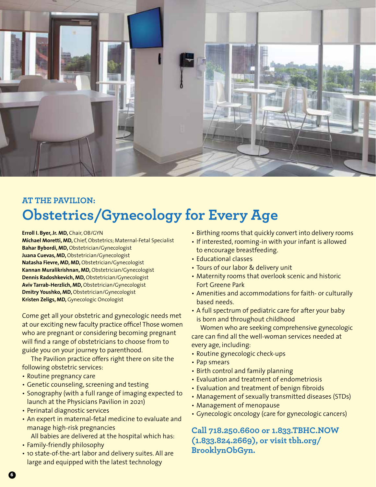

### **AT THE PAVILION: Obstetrics/Gynecology for Every Age**

**Erroll I. Byer, Jr. MD,** Chair, OB/GYN

**Michael Moretti, MD,** Chief, Obstetrics; Maternal-Fetal Specialist **Bahar Bybordi, MD,** Obstetrician/Gynecologist **Juana Cuevas, MD,** Obstetrician/Gynecologist **Natasha Fievre, MD, MD,** Obstetrician/Gynecologist **Kannan Muralikrishnan, MD,** Obstetrician/Gynecologist **Dennis Radoshkevich, MD,** Obstetrician/Gynecologist **Aviv Tarrab-Herzlich, MD,** Obstetrician/Gynecologist **Dmitry Youshko, MD,** Obstetrician/Gynecologist **Kristen Zeligs, MD,** Gynecologic Oncologist

Come get all your obstetric and gynecologic needs met at our exciting new faculty practice office! Those women who are pregnant or considering becoming pregnant will find a range of obstetricians to choose from to guide you on your journey to parenthood.

 The Pavilion practice offers right there on site the following obstetric services:

- Routine pregnancy care
- Genetic counseling, screening and testing
- Sonography (with a full range of imaging expected to launch at the Physicians Pavilion in 2021)
- Perinatal diagnostic services
- An expert in maternal-fetal medicine to evaluate and manage high-risk pregnancies
	- All babies are delivered at the hospital which has:
- Family-friendly philosophy
- 10 state-of-the-art labor and delivery suites. All are large and equipped with the latest technology
- Birthing rooms that quickly convert into delivery rooms
- If interested, rooming-in with your infant is allowed to encourage breastfeeding.
- Educational classes
- Tours of our labor & delivery unit
- Maternity rooms that overlook scenic and historic Fort Greene Park
- Amenities and accommodations for faith- or culturally based needs.
- A full spectrum of pediatric care for after your baby is born and throughout childhood

 Women who are seeking comprehensive gynecologic care can find all the well-woman services needed at every age, including:

- Routine gynecologic check-ups
- Pap smears
- Birth control and family planning
- Evaluation and treatment of endometriosis
- Evaluation and treatment of benign fibroids
- Management of sexually transmitted diseases (STDs)
- Management of menopause
- Gynecologic oncology (care for gynecologic cancers)

**Call 718.250.6600 or 1.833.TBHC.NOW (1.833.824.2669), or visit tbh.org/ BrooklynObGyn.**

**6**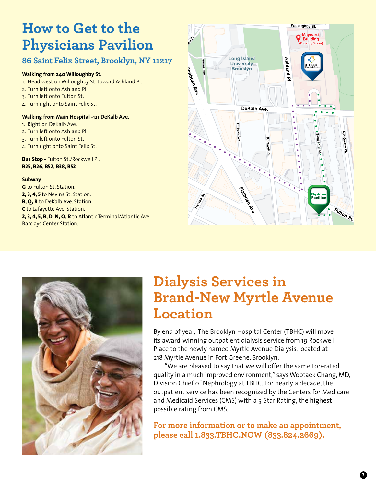## **How to Get to the Physicians Pavilion**

#### **86 Saint Felix Street, Brooklyn, NY 11217**

#### **Walking from 240 Willoughby St.**

- 1. Head west on Willoughby St. toward Ashland Pl.
- 2. Turn left onto Ashland Pl.
- 3. Turn left onto Fulton St.
- 4. Turn right onto Saint Felix St.

#### **Walking from Main Hospital -121 DeKalb Ave.**

- 1. Right on DeKalb Ave.
- 2. Turn left onto Ashland Pl.
- 3. Turn left onto Fulton St.
- 4. Turn right onto Saint Felix St.

#### **Bus Stop -** Fulton St./Rockwell Pl. **B25, B26, B52, B38, B52**

#### **Subway**

**G** to Fulton St. Station. **2, 3, 4, 5** to Nevins St. Station. **B, Q, R** to DeKalb Ave. Station. **C** to Lafayette Ave. Station. **2, 3, 4, 5, B, D, N, Q, R** to Atlantic Terminal/Atlantic Ave. Barclays Center Station.





## **Dialysis Services in Brand-New Myrtle Avenue Location**

By end of year, The Brooklyn Hospital Center (TBHC) will move its award-winning outpatient dialysis service from 19 Rockwell Place to the newly named Myrtle Avenue Dialysis, located at 218 Myrtle Avenue in Fort Greene, Brooklyn.

"We are pleased to say that we will offer the same top-rated quality in a much improved environment," says Wootaek Chang, MD, Division Chief of Nephrology at TBHC. For nearly a decade, the outpatient service has been recognized by the Centers for Medicare and Medicaid Services (CMS) with a 5-Star Rating, the highest possible rating from CMS.

**For more information or to make an appointment, please call 1.833.TBHC.NOW (833.824.2669).**